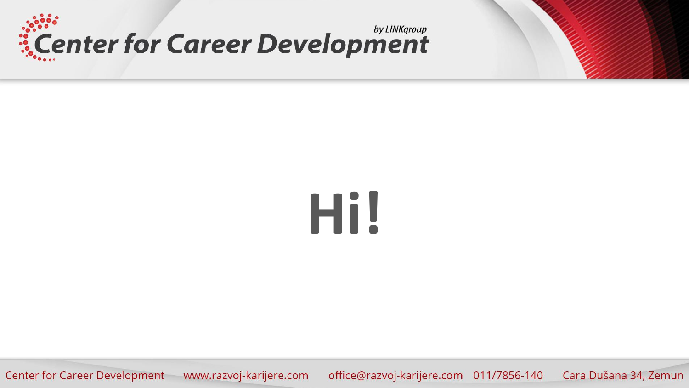



# **Hi!**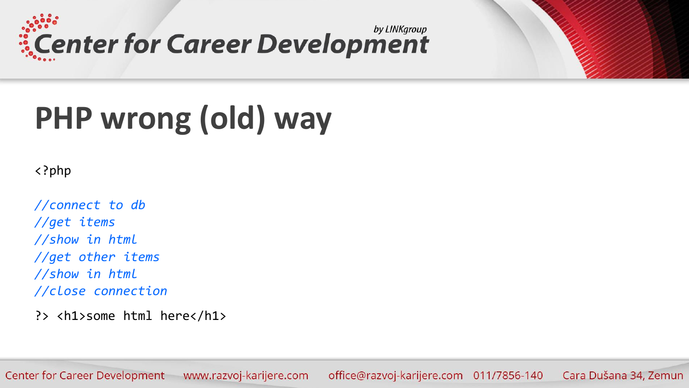



<?php

*//connect to db //get items //show in html //get other items //show in html //close connection*

?> <h1>some html here</h1>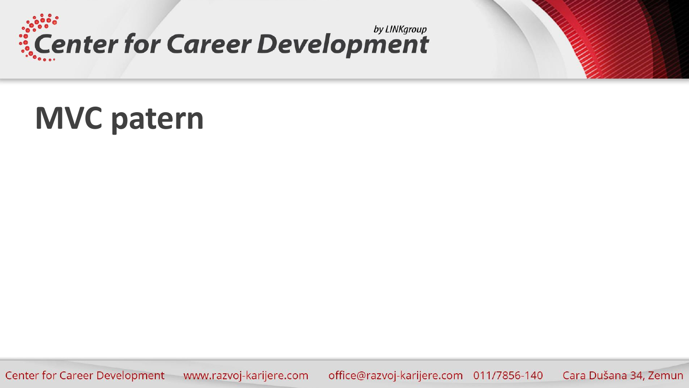

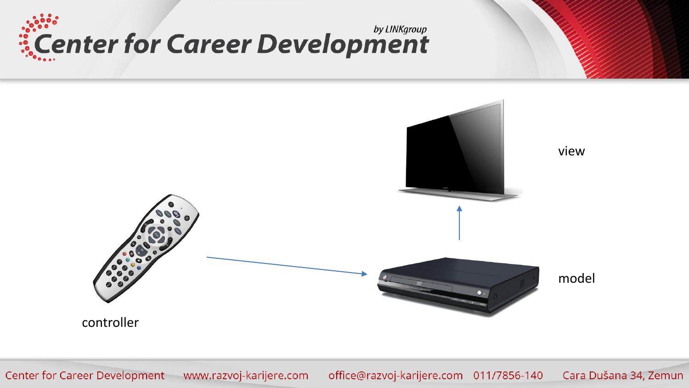

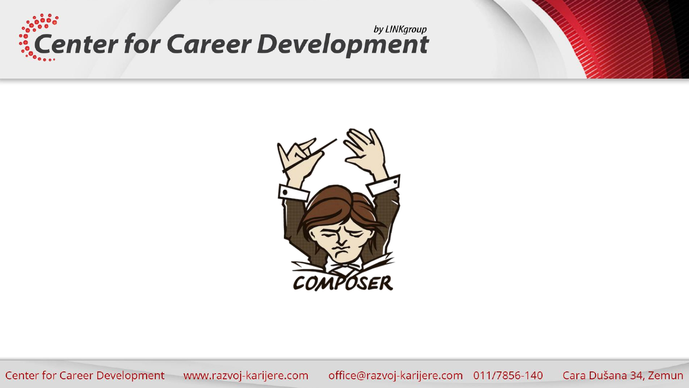



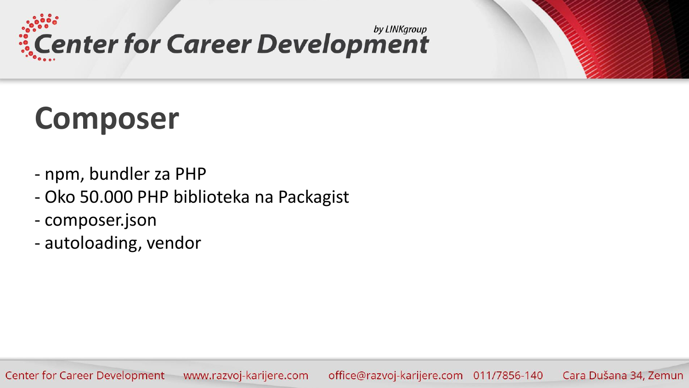

#### **Composer**

- npm, bundler za PHP
- Oko 50.000 PHP biblioteka na Packagist
- composer.json
- autoloading, vendor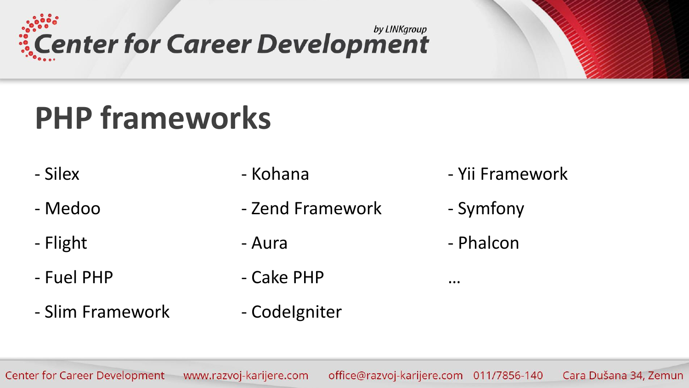by LINKgroup *is* Center for Career Development

### **PHP frameworks**

- Silex
- Medoo
- Flight
- Fuel PHP
- Slim Framework
- Kohana
- Zend Framework
- Aura
- Cake PHP
- CodeIgniter
- Yii Framework
- Symfony
- Phalcon

…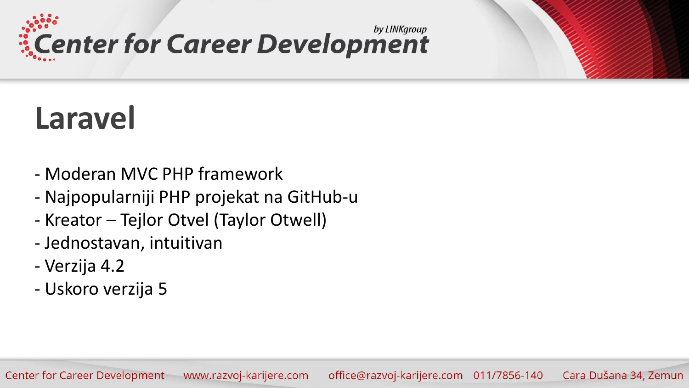

#### **Laravel**

- Moderan MVC PHP framework
- Najpopularniji PHP projekat na GitHub-u
- Kreator Tejlor Otvel (Taylor Otwell)
- Jednostavan, intuitivan
- Verzija 4.2
- Uskoro verzija 5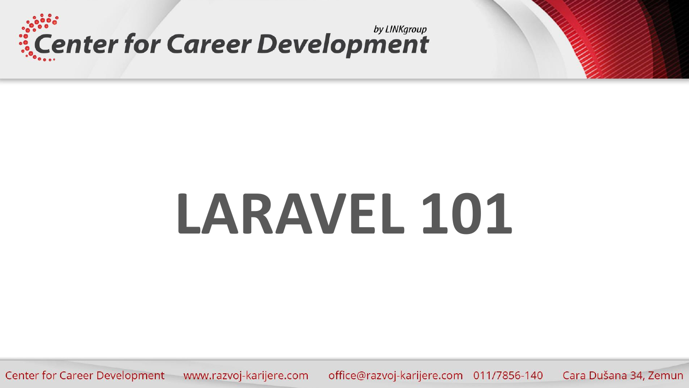



office@razvoj-karijere.com 011/7856-140 Cara Dušana 34, Zemun Center for Career Development www.razvoj-karijere.com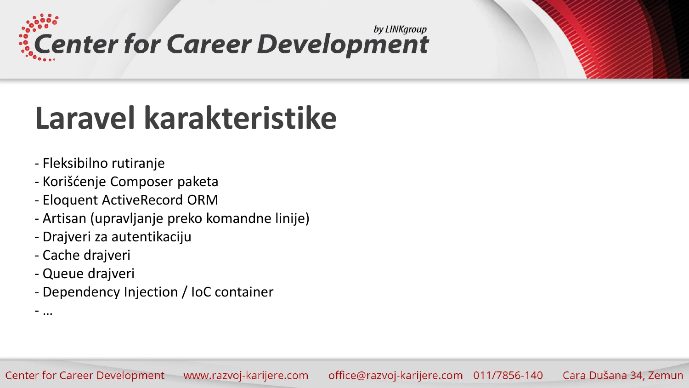by LINKgroup **ECENTER for Career Development** 

#### **Laravel karakteristike**

- Fleksibilno rutiranje
- Korišćenje Composer paketa
- Eloquent ActiveRecord ORM
- Artisan (upravljanje preko komandne linije)
- Drajveri za autentikaciju
- Cache drajveri
- Queue drajveri

- …

- Dependency Injection / IoC container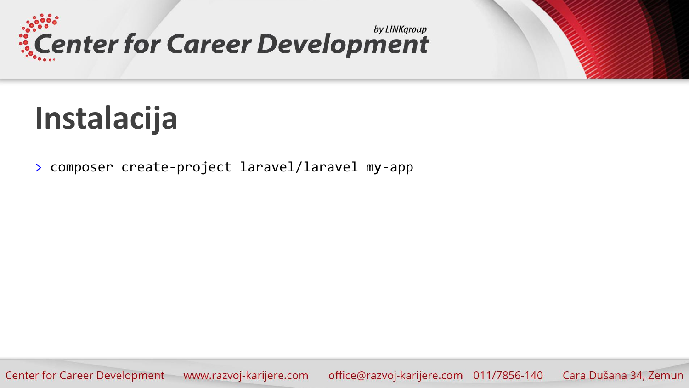



> composer create-project laravel/laravel my-app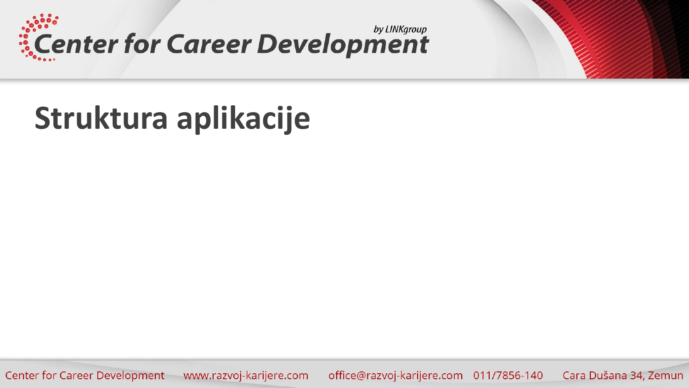

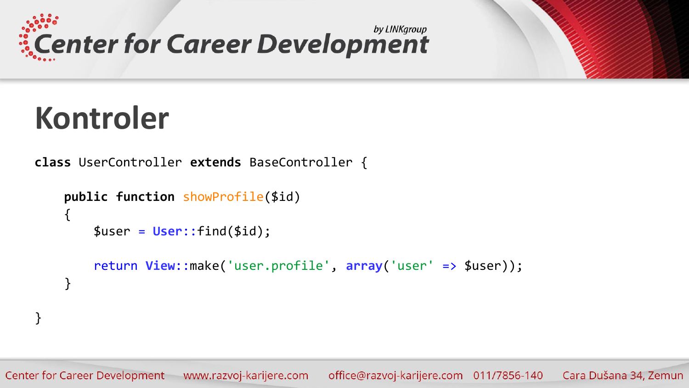



}

**class** UserController **extends** BaseController {

```
public function showProfile($id)
{
    $user = User::find($id);
    return View::make('user.profile', array('user' => $user));
}
```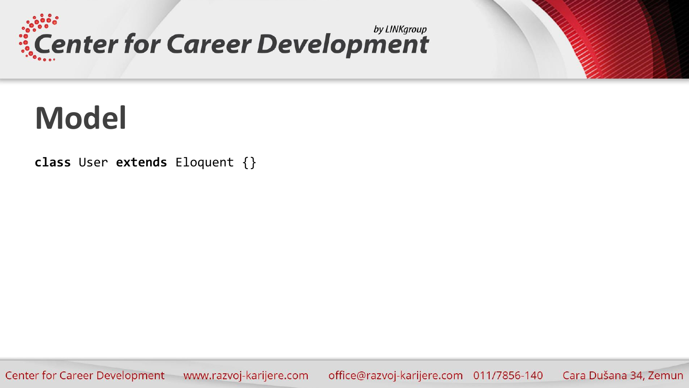



**class** User **extends** Eloquent {}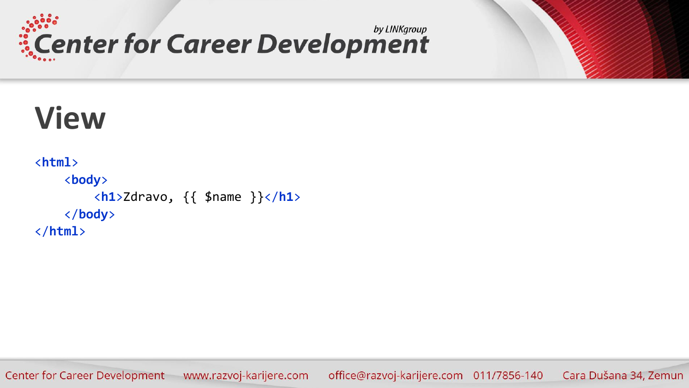

![](_page_14_Picture_1.jpeg)

#### **View**

```
<html>
    <body>
        <h1>Zdravo, {{ $name }}</h1>
    </body>
</html>
```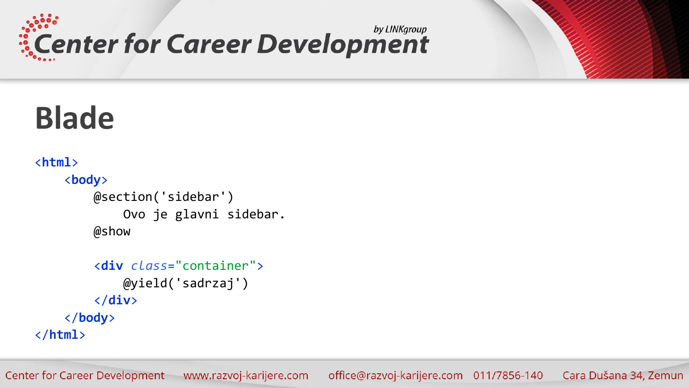![](_page_15_Picture_0.jpeg)

![](_page_15_Picture_1.jpeg)

```
<html>
    <body>
        @section('sidebar')
            Ovo je glavni sidebar.
        @show
```

```
<div class="container">
            @yield('sadrzaj')
        </div>
    </body>
</html>
```
www.razvoj-karijere.com Center for Career Development office@razvoj-karijere.com 011/7856-140 Cara Dušana 34, Zemun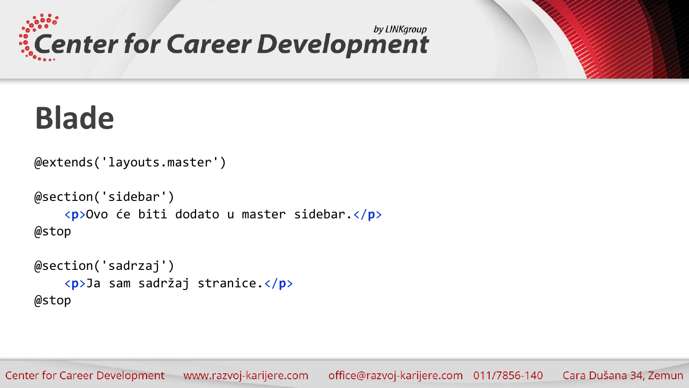![](_page_16_Picture_0.jpeg)

![](_page_16_Picture_1.jpeg)

```
@extends('layouts.master')
```

```
@section('sidebar')
    <p>Ovo će biti dodato u master sidebar.</p>
@stop
```

```
@section('sadrzaj')
    <p>Ja sam sadržaj stranice.</p>
@stop
```
office@razvoj-karijere.com 011/7856-140 Cara Dušana 34, Zemun Center for Career Development www.razvoj-karijere.com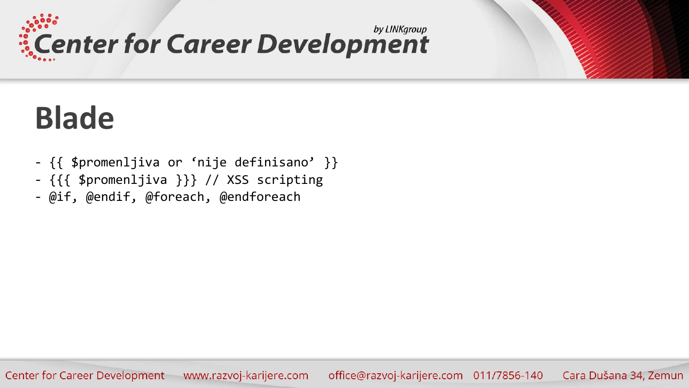![](_page_17_Picture_0.jpeg)

#### **Blade**

- {{ \$promenljiva or 'nije definisano' }}
- {{{ \$promenljiva }}} // XSS scripting
- @if, @endif, @foreach, @endforeach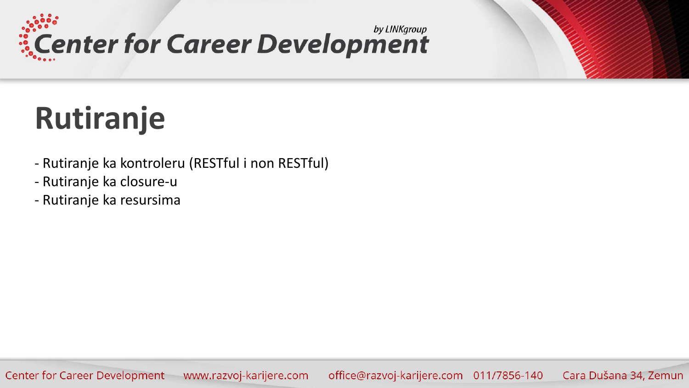![](_page_18_Picture_0.jpeg)

#### **Rutiranje**

- Rutiranje ka kontroleru (RESTful i non RESTful)
- Rutiranje ka closure-u
- Rutiranje ka resursima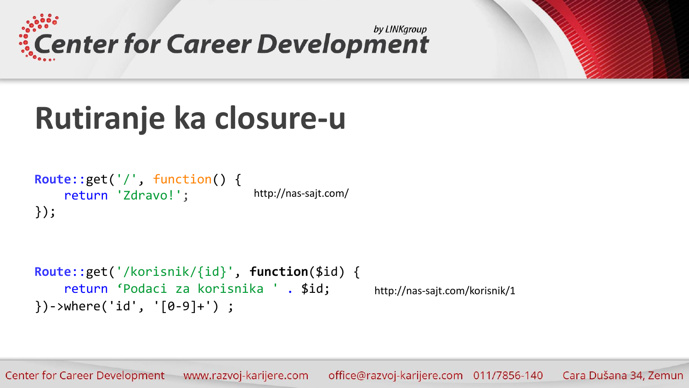![](_page_19_Picture_0.jpeg)

![](_page_19_Picture_1.jpeg)

#### **Rutiranje ka closure-u**

```
Route::get('/', function() { 
    return 'Zdravo!';
});
                                  http://nas-sajt.com/
```

```
Route::get('/korisnik/{id}', function($id) {
    return 'Podaci za korisnika ' . $id;
})->where('id', '[0-9]+') ;
                                                  http://nas-sajt.com/korisnik/1
```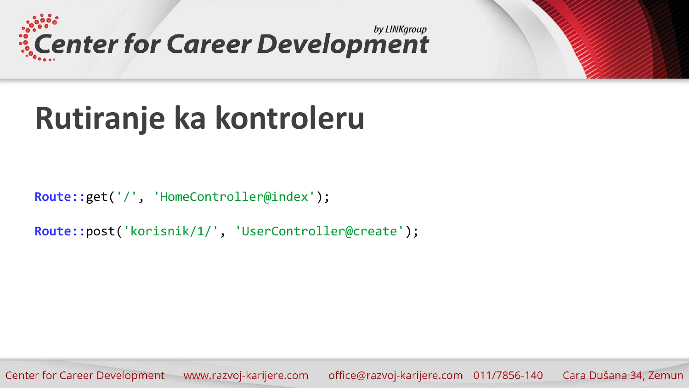![](_page_20_Picture_0.jpeg)

![](_page_20_Picture_1.jpeg)

#### **Rutiranje ka kontroleru**

Route::get('/', 'HomeController@index');

**Route**::post('korisnik/1/', 'UserController@create');

office@razvoj-karijere.com 011/7856-140 Cara Dušana 34, Zemun Center for Career Development www.razvoj-karijere.com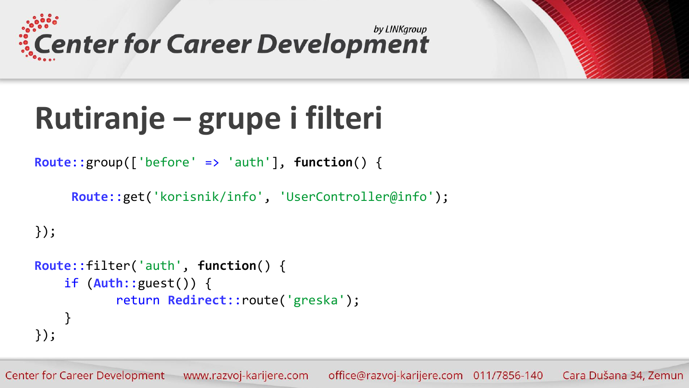![](_page_21_Picture_0.jpeg)

![](_page_21_Picture_1.jpeg)

### **Rutiranje – grupe i filteri**

**Route**::group(['before' => 'auth'], **function**() {

```
Route::get('korisnik/info', 'UserController@info');
```

```
});
```

```
Route::filter('auth', function() {
    if (Auth::guest()) {
           return Redirect::route('greska');
    } 
});
```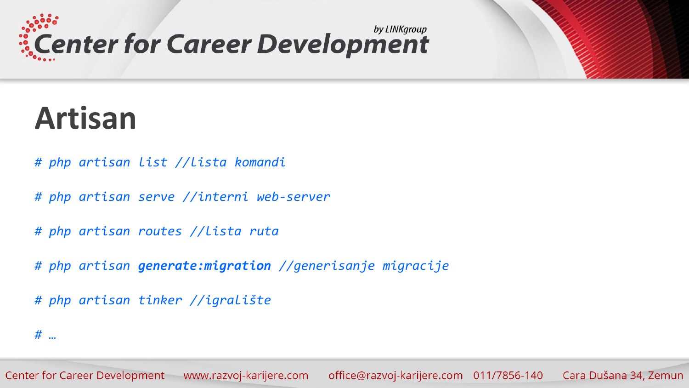![](_page_22_Picture_0.jpeg)

#### **Artisan**

- *# php artisan list //lista komandi*
- *# php artisan serve //interni web-server*
- *# php artisan routes //lista ruta*
- *# php artisan generate:migration //generisanje migracije*
- *# php artisan tinker //igralište*

*# …*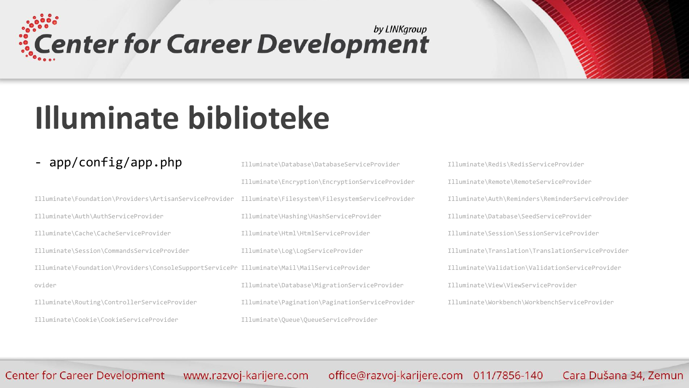## Center for Career Development

![](_page_23_Picture_1.jpeg)

#### **Illuminate biblioteke**

#### - app/config/app.php

Illuminate\Foundation\Providers\ArtisanServiceProvider Illuminate\Auth\AuthServiceProvider Illuminate\Cache\CacheServiceProvider Illuminate\Session\CommandsServiceProvider Illuminate\Foundation\Providers\ConsoleSupportServicePr Illuminate\Mail\MailServiceProvider ovider Illuminate\Routing\ControllerServiceProvider

Illuminate\Cookie\CookieServiceProvider

Illuminate\Database\DatabaseServiceProvider Illuminate\Encryption\EncryptionServiceProvider Illuminate\Filesystem\FilesystemServiceProvider Illuminate\Hashing\HashServiceProvider Illuminate\Html\HtmlServiceProvider Illuminate\Log\LogServiceProvider Illuminate\Database\MigrationServiceProvider Illuminate\Pagination\PaginationServiceProvider Illuminate\Queue\QueueServiceProvider

Illuminate\Redis\RedisServiceProvider Illuminate\Remote\RemoteServiceProvider Illuminate\Auth\Reminders\ReminderServiceProvider Illuminate\Database\SeedServiceProvider Illuminate\Session\SessionServiceProvider Illuminate\Translation\TranslationServiceProvider Illuminate\Validation\ValidationServiceProvider Illuminate\View\ViewServiceProvider Illuminate\Workbench\WorkbenchServiceProvider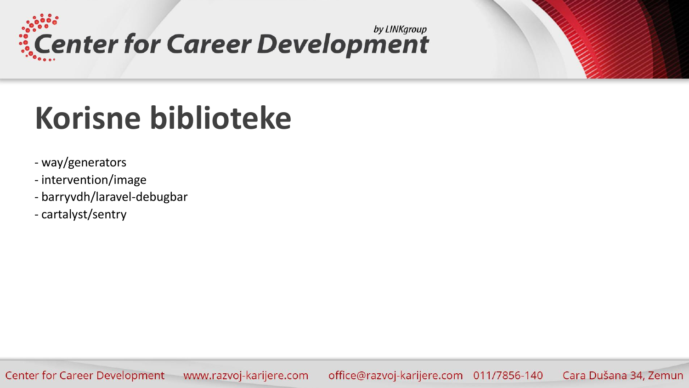Center for Career Development

#### **Korisne biblioteke**

- way/generators
- intervention/image
- barryvdh/laravel-debugbar
- cartalyst/sentry